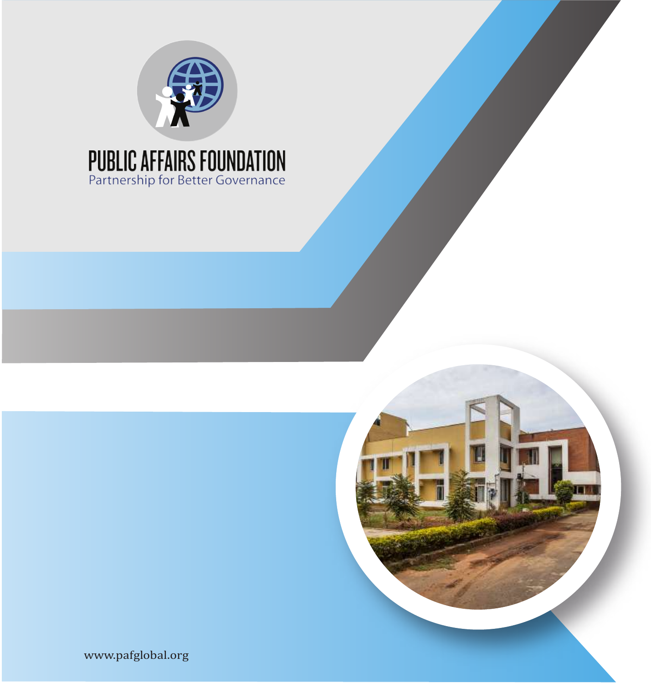



www.pafglobal.org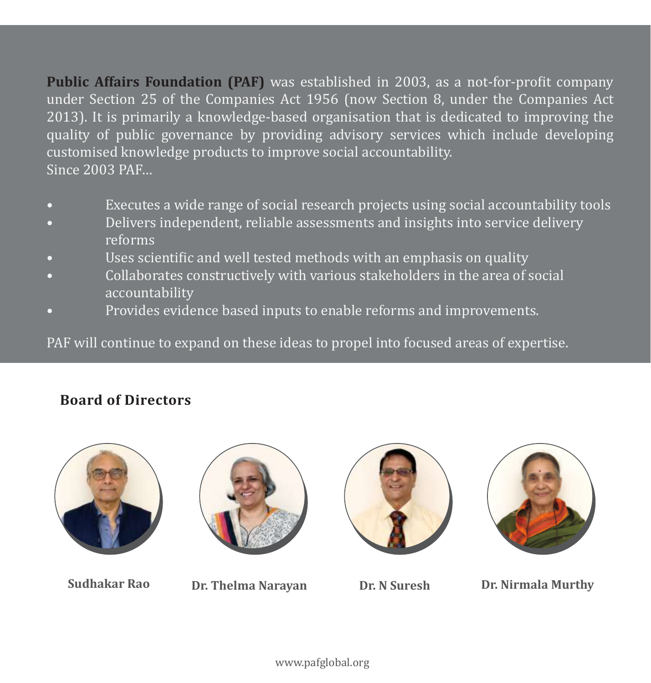**Public Affairs Foundation (PAF)** was established in 2003, as a not-for-profit company under Section 25 of the Companies Act 1956 (now Section 8, under the Companies Act 2013). It is primarily a knowledge-based organisation that is dedicated to improving the quality of public governance by providing advisory services which include developing customised knowledge products to improve social accountability. Since 2003 PAF…

- Executes a wide range of social research projects using social accountability tools
- Delivers independent, reliable assessments and insights into service delivery reforms
- Uses scientific and well tested methods with an emphasis on quality
- Collaborates constructively with various stakeholders in the area of social accountability
- Provides evidence based inputs to enable reforms and improvements.

PAF will continue to expand on these ideas to propel into focused areas of expertise.

#### **Board of Directors**









**Sudhakar Rao Dr. Thelma Narayan Dr. N Suresh Dr. Nirmala Murthy**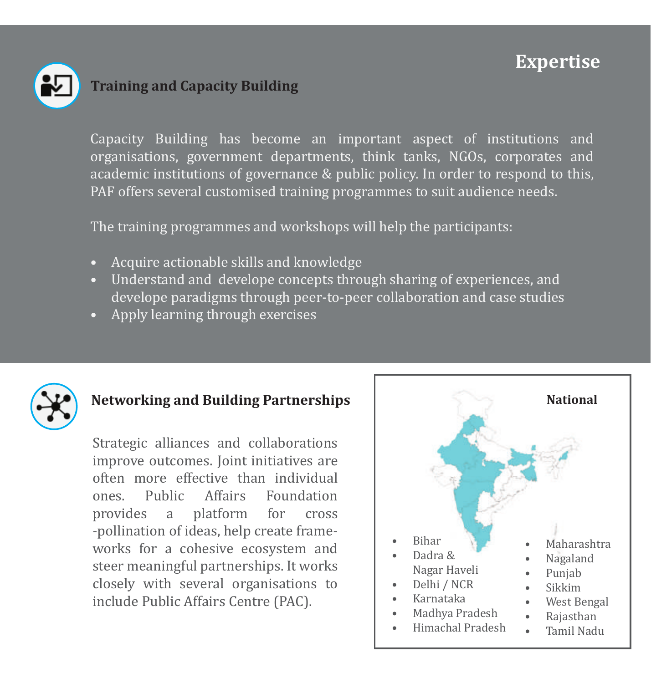## **Expertise**



## **Training and Capacity Building**

Capacity Building has become an important aspect of institutions and organisations, government departments, think tanks, NGOs, corporates and academic institutions of governance & public policy. In order to respond to this, PAF offers several customised training programmes to suit audience needs.

The training programmes and workshops will help the participants:

- Acquire actionable skills and knowledge
- Understand and develope concepts through sharing of experiences, and develope paradigms through peer-to-peer collaboration and case studies
- Apply learning through exercises



## **Networking and Building Partnerships**

Strategic alliances and collaborations improve outcomes. Joint initiatives are often more effective than individual<br>ones Public Affairs Foundation ones. Public Affairs<br>provides a platform provides a platform for cross -pollination of ideas, help create frameworks for a cohesive ecosystem and steer meaningful partnerships. It works closely with several organisations to include Public Affairs Centre (PAC).

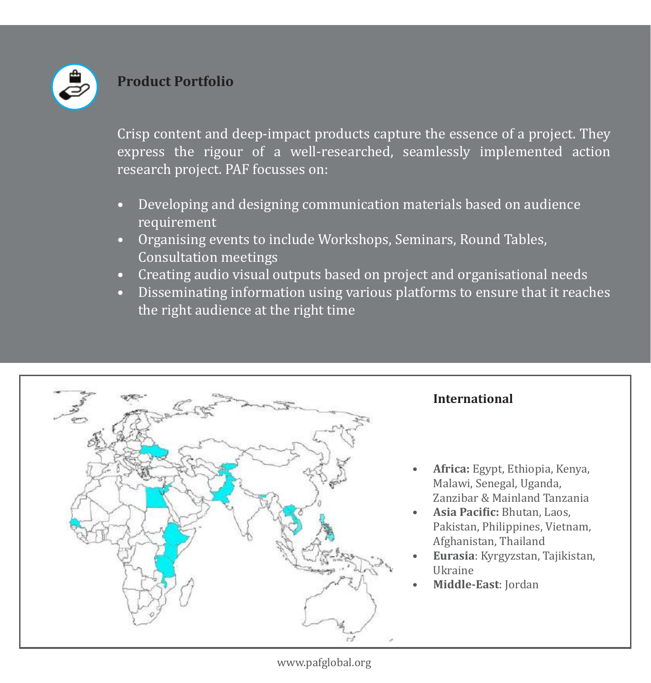

#### **Product Portfolio**

Crisp content and deep-impact products capture the essence of a project. They express the rigour of a well-researched, seamlessly implemented action research project. PAF focusses on:

- Developing and designing communication materials based on audience requirement
- Organising events to include Workshops, Seminars, Round Tables, Consultation meetings
- Creating audio visual outputs based on project and organisational needs
- Disseminating information using various platforms to ensure that it reaches the right audience at the right time

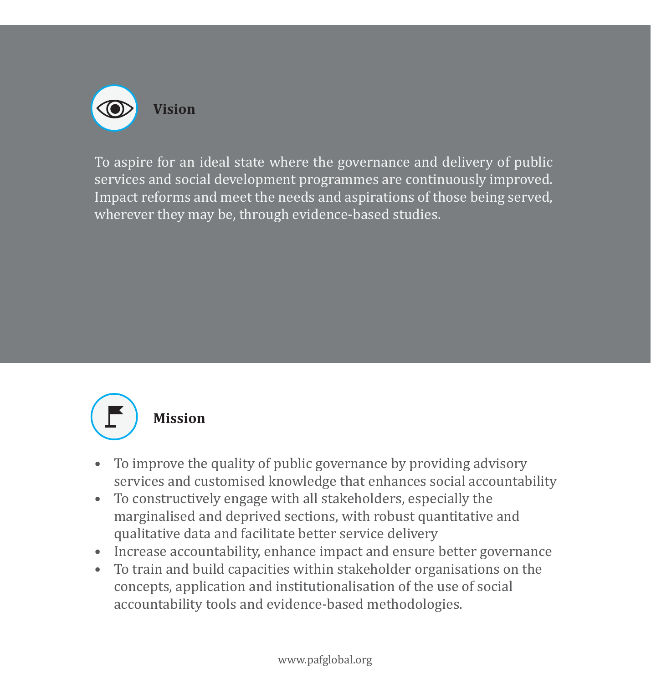

To aspire for an ideal state where the governance and delivery of public services and social development programmes are continuously improved. Impact reforms and meet the needs and aspirations of those being served, wherever they may be, through evidence-based studies.



#### **Mission**

- To improve the quality of public governance by providing advisory services and customised knowledge that enhances social accountability
- To constructively engage with all stakeholders, especially the marginalised and deprived sections, with robust quantitative and qualitative data and facilitate better service delivery
- Increase accountability, enhance impact and ensure better governance
- To train and build capacities within stakeholder organisations on the concepts, application and institutionalisation of the use of social accountability tools and evidence-based methodologies.